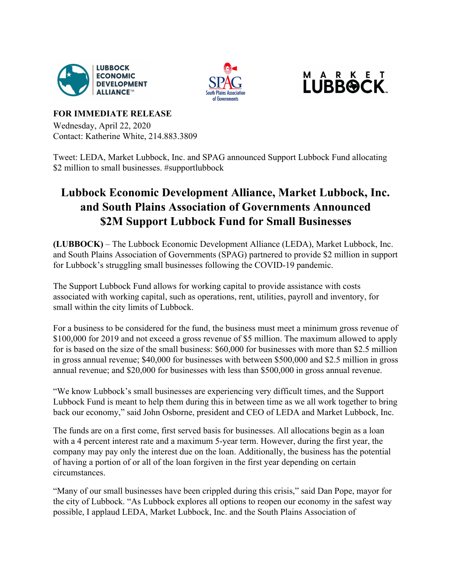





## **FOR IMMEDIATE RELEASE**

Wednesday, April 22, 2020 Contact: Katherine White, 214.883.3809

Tweet: LEDA, Market Lubbock, Inc. and SPAG announced Support Lubbock Fund allocating \$2 million to small businesses. #supportlubbock

## **Lubbock Economic Development Alliance, Market Lubbock, Inc. and South Plains Association of Governments Announced \$2M Support Lubbock Fund for Small Businesses**

**(LUBBOCK)** – The Lubbock Economic Development Alliance (LEDA), Market Lubbock, Inc. and South Plains Association of Governments (SPAG) partnered to provide \$2 million in support for Lubbock's struggling small businesses following the COVID-19 pandemic.

The Support Lubbock Fund allows for working capital to provide assistance with costs associated with working capital, such as operations, rent, utilities, payroll and inventory, for small within the city limits of Lubbock.

For a business to be considered for the fund, the business must meet a minimum gross revenue of \$100,000 for 2019 and not exceed a gross revenue of \$5 million. The maximum allowed to apply for is based on the size of the small business: \$60,000 for businesses with more than \$2.5 million in gross annual revenue; \$40,000 for businesses with between \$500,000 and \$2.5 million in gross annual revenue; and \$20,000 for businesses with less than \$500,000 in gross annual revenue.

"We know Lubbock's small businesses are experiencing very difficult times, and the Support Lubbock Fund is meant to help them during this in between time as we all work together to bring back our economy," said John Osborne, president and CEO of LEDA and Market Lubbock, Inc.

The funds are on a first come, first served basis for businesses. All allocations begin as a loan with a 4 percent interest rate and a maximum 5-year term. However, during the first year, the company may pay only the interest due on the loan. Additionally, the business has the potential of having a portion of or all of the loan forgiven in the first year depending on certain circumstances.

"Many of our small businesses have been crippled during this crisis," said Dan Pope, mayor for the city of Lubbock. "As Lubbock explores all options to reopen our economy in the safest way possible, I applaud LEDA, Market Lubbock, Inc. and the South Plains Association of